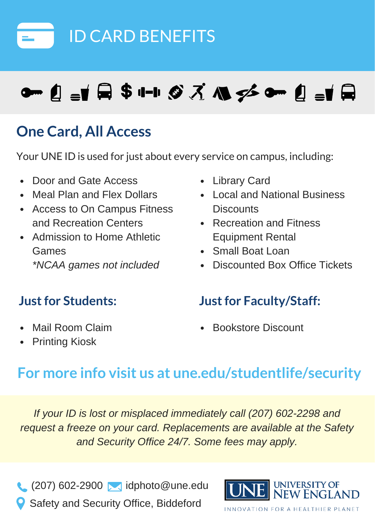

# **๛\_\_\_\_\_\_\_\_\_\_\_\_\_\_\_\_\_\_\_\_\_\_\_\_\_\_\_\_**\_\_\_

# **One Card, All Access**

Your UNE ID is used for just about every service on campus, including:

- Door and Gate Access
- Meal Plan and Flex Dollars
- Access to On Campus Fitness and Recreation Centers
- Admission to Home Athletic Games *\*NCAA games not included*
- 
- Library Card
- Local and National Business **Discounts**
- Recreation and Fitness Equipment Rental
- Small Boat Loan
- Discounted Box Office Tickets

#### **Justfor Students: Justfor Faculty/Staff:**

- Mail Room Claim
- Printing Kiosk

Bookstore Discount

# **For more info visit us at une.edu/studentlife/security**

*If your ID is lost or misplaced immediately call (207) 602-2298 and request a freeze on your card. Replacements are available at the Safety and Security Office 24/7. Some fees may apply.*

 $(207)$  602-2900 **i**dphoto@une.edu Safety and Security Office, Biddeford



VATION FOR A HEALTHIER PLANET